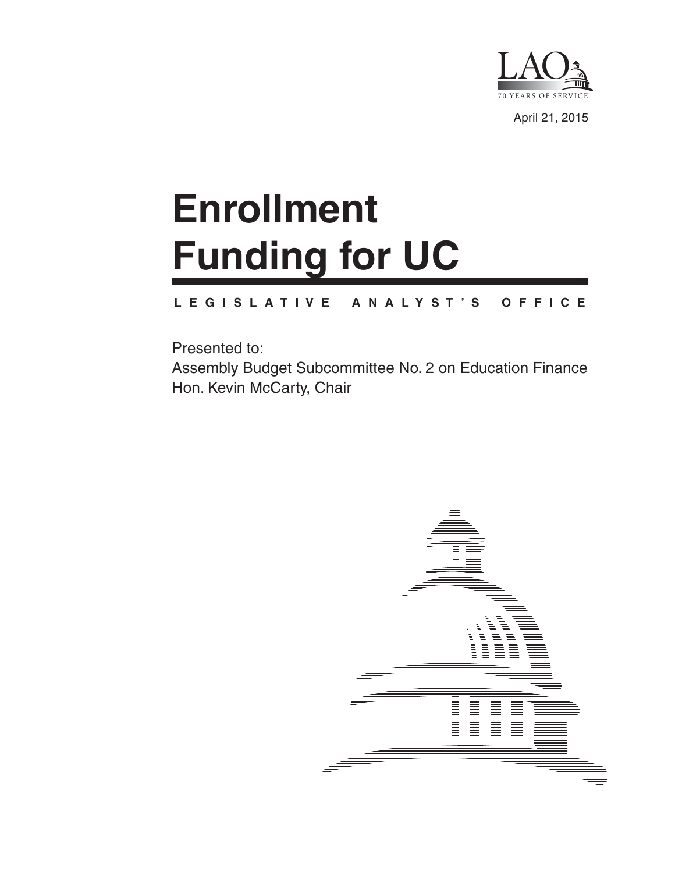

April 21, 2015

# **Enrollment Funding for UC**

#### **L E G I S L A T I V E A N A L Y S T ' S O F F I C E**

Presented to: Assembly Budget Subcommittee No. 2 on Education Finance Hon. Kevin McCarty, Chair

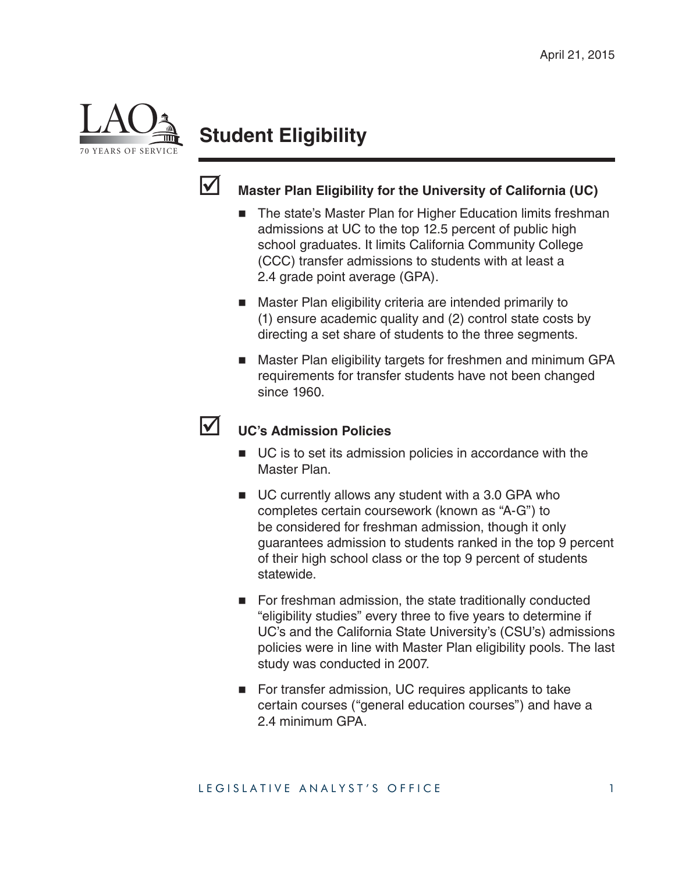

# **Student Eligibility**



### **Master Plan Eligibility for the University of California (UC)**

- The state's Master Plan for Higher Education limits freshman admissions at UC to the top 12.5 percent of public high school graduates. It limits California Community College (CCC) transfer admissions to students with at least a 2.4 grade point average (GPA).
- Master Plan eligibility criteria are intended primarily to (1) ensure academic quality and (2) control state costs by directing a set share of students to the three segments.
- Master Plan eligibility targets for freshmen and minimum GPA requirements for transfer students have not been changed since 1960.

# **UC's Admission Policies**

- UC is to set its admission policies in accordance with the Master Plan.
- UC currently allows any student with a 3.0 GPA who completes certain coursework (known as "A-G") to be considered for freshman admission, though it only guarantees admission to students ranked in the top 9 percent of their high school class or the top 9 percent of students statewide.
- For freshman admission, the state traditionally conducted "eligibility studies" every three to five years to determine if UC's and the California State University's (CSU's) admissions policies were in line with Master Plan eligibility pools. The last study was conducted in 2007.
- For transfer admission, UC requires applicants to take certain courses ("general education courses") and have a 2.4 minimum GPA.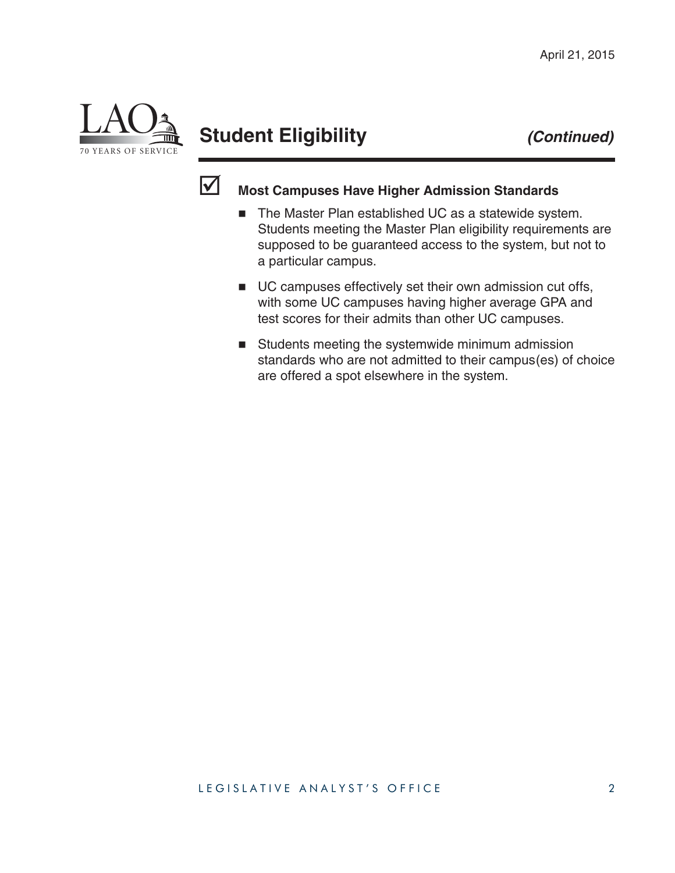

# **Student Eligibility** *(Continued)*



## **Most Campuses Have Higher Admission Standards**

- The Master Plan established UC as a statewide system. Students meeting the Master Plan eligibility requirements are supposed to be guaranteed access to the system, but not to a particular campus.
- UC campuses effectively set their own admission cut offs, with some UC campuses having higher average GPA and test scores for their admits than other UC campuses.
- Students meeting the systemwide minimum admission standards who are not admitted to their campus(es) of choice are offered a spot elsewhere in the system.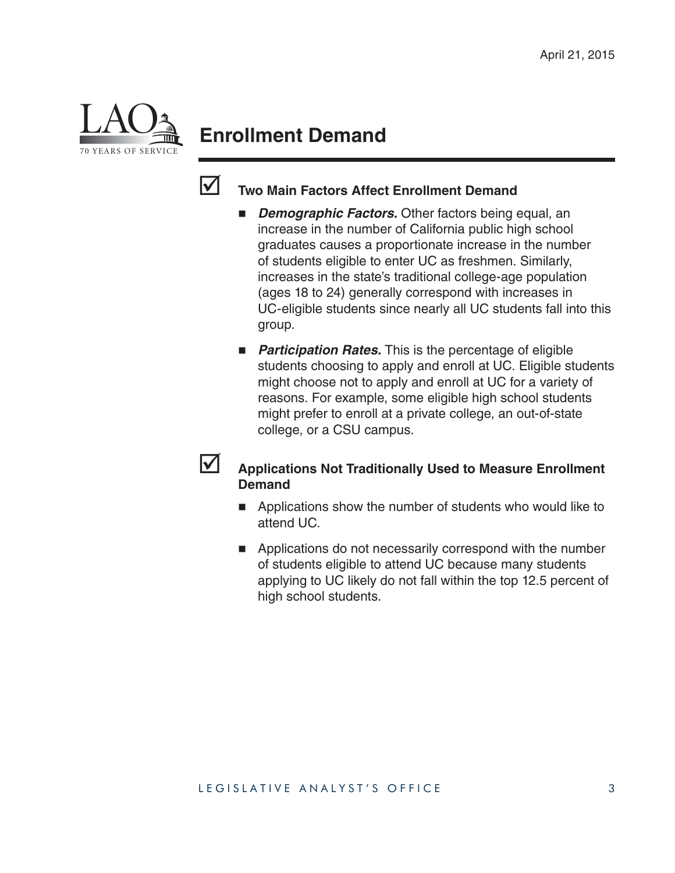

# **Enrollment Demand**



#### **Two Main Factors Affect Enrollment Demand**

- *Demographic Factors.* Other factors being equal, an increase in the number of California public high school graduates causes a proportionate increase in the number of students eligible to enter UC as freshmen. Similarly, increases in the state's traditional college-age population (ages 18 to 24) generally correspond with increases in UC-eligible students since nearly all UC students fall into this group.
- **Participation Rates.** This is the percentage of eligible students choosing to apply and enroll at UC. Eligible students might choose not to apply and enroll at UC for a variety of reasons. For example, some eligible high school students might prefer to enroll at a private college, an out-of-state college, or a CSU campus.

#### **Applications Not Traditionally Used to Measure Enrollment Demand**

- **Applications show the number of students who would like to** attend UC.
- **Applications do not necessarily correspond with the number** of students eligible to attend UC because many students applying to UC likely do not fall within the top 12.5 percent of high school students.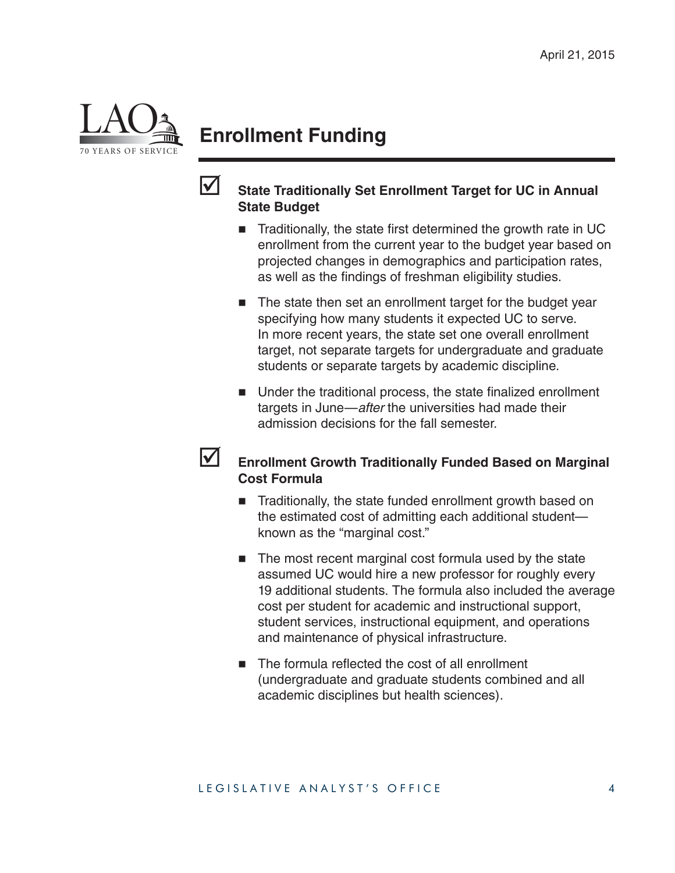

# **Enrollment Funding**



#### **State Traditionally Set Enrollment Target for UC in Annual State Budget**

- $\blacksquare$  Traditionally, the state first determined the growth rate in UC enrollment from the current year to the budget year based on projected changes in demographics and participation rates, as well as the findings of freshman eligibility studies.
- The state then set an enrollment target for the budget year specifying how many students it expected UC to serve. In more recent years, the state set one overall enrollment target, not separate targets for undergraduate and graduate students or separate targets by academic discipline.
- $\blacksquare$  Under the traditional process, the state finalized enrollment targets in June—*after* the universities had made their admission decisions for the fall semester.

#### **Enrollment Growth Traditionally Funded Based on Marginal Cost Formula**

- Traditionally, the state funded enrollment growth based on the estimated cost of admitting each additional student known as the "marginal cost."
- The most recent marginal cost formula used by the state assumed UC would hire a new professor for roughly every 19 additional students. The formula also included the average cost per student for academic and instructional support, student services, instructional equipment, and operations and maintenance of physical infrastructure.
- The formula reflected the cost of all enrollment (undergraduate and graduate students combined and all academic disciplines but health sciences).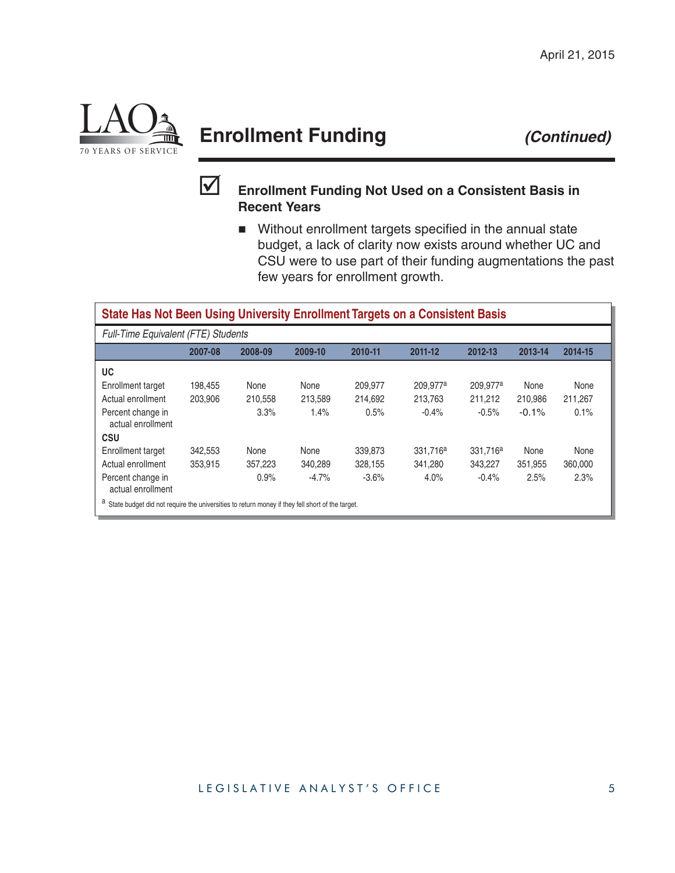

# **Enrollment Funding** *(Continued)*



#### **Enrollment Funding Not Used on a Consistent Basis in Recent Years**

Without enrollment targets specified in the annual state budget, a lack of clarity now exists around whether UC and CSU were to use part of their funding augmentations the past few years for enrollment growth.

#### **State Has Not Been Using University Enrollment Targets on a Consistent Basis**

| <b>Full-Time Equivalent (FTE) Students</b>                                                              |         |         |         |         |                      |                      |         |         |  |
|---------------------------------------------------------------------------------------------------------|---------|---------|---------|---------|----------------------|----------------------|---------|---------|--|
|                                                                                                         | 2007-08 | 2008-09 | 2009-10 | 2010-11 | 2011-12              | 2012-13              | 2013-14 | 2014-15 |  |
| UC                                                                                                      |         |         |         |         |                      |                      |         |         |  |
| Enrollment target                                                                                       | 198.455 | None    | None    | 209.977 | 209.977 <sup>a</sup> | 209.977 <sup>a</sup> | None    | None    |  |
| Actual enrollment                                                                                       | 203.906 | 210.558 | 213.589 | 214.692 | 213.763              | 211.212              | 210.986 | 211.267 |  |
| Percent change in<br>actual enrollment                                                                  |         | 3.3%    | 1.4%    | 0.5%    | $-0.4%$              | $-0.5%$              | $-0.1%$ | 0.1%    |  |
| <b>CSU</b>                                                                                              |         |         |         |         |                      |                      |         |         |  |
| Enrollment target                                                                                       | 342,553 | None    | None    | 339.873 | 331.716 <sup>a</sup> | 331.716 <sup>a</sup> | None    | None    |  |
| Actual enrollment                                                                                       | 353.915 | 357.223 | 340.289 | 328.155 | 341.280              | 343.227              | 351.955 | 360,000 |  |
| Percent change in<br>actual enrollment                                                                  |         | 0.9%    | $-4.7%$ | $-3.6%$ | 4.0%                 | $-0.4%$              | 2.5%    | 2.3%    |  |
| $\alpha$ Ctato budget did not require the universities to return menoy if they fell short of the target |         |         |         |         |                      |                      |         |         |  |

a State budget did not require the universities to return money if they fell short of the target.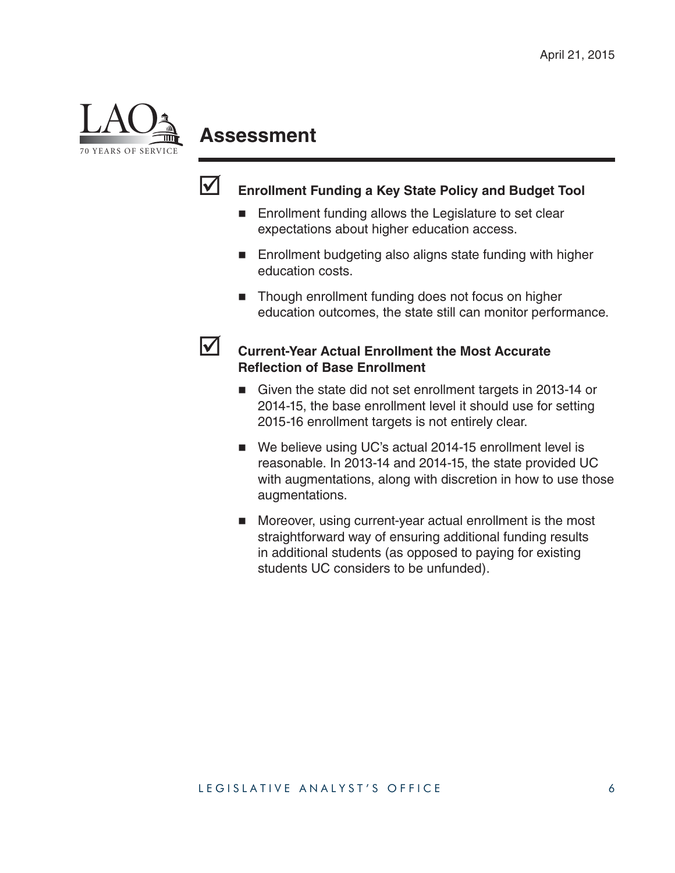

# **Assessment**



#### **Enrollment Funding a Key State Policy and Budget Tool**

- Enrollment funding allows the Legislature to set clear expectations about higher education access.
- **Enrollment budgeting also aligns state funding with higher** education costs.
- Though enrollment funding does not focus on higher education outcomes, the state still can monitor performance.

#### **Current-Year Actual Enrollment the Most Accurate Refl ection of Base Enrollment**

- Given the state did not set enrollment targets in 2013-14 or 2014-15, the base enrollment level it should use for setting 2015-16 enrollment targets is not entirely clear.
- We believe using UC's actual 2014-15 enrollment level is reasonable. In 2013-14 and 2014-15, the state provided UC with augmentations, along with discretion in how to use those augmentations.
- Moreover, using current-year actual enrollment is the most straightforward way of ensuring additional funding results in additional students (as opposed to paying for existing students UC considers to be unfunded).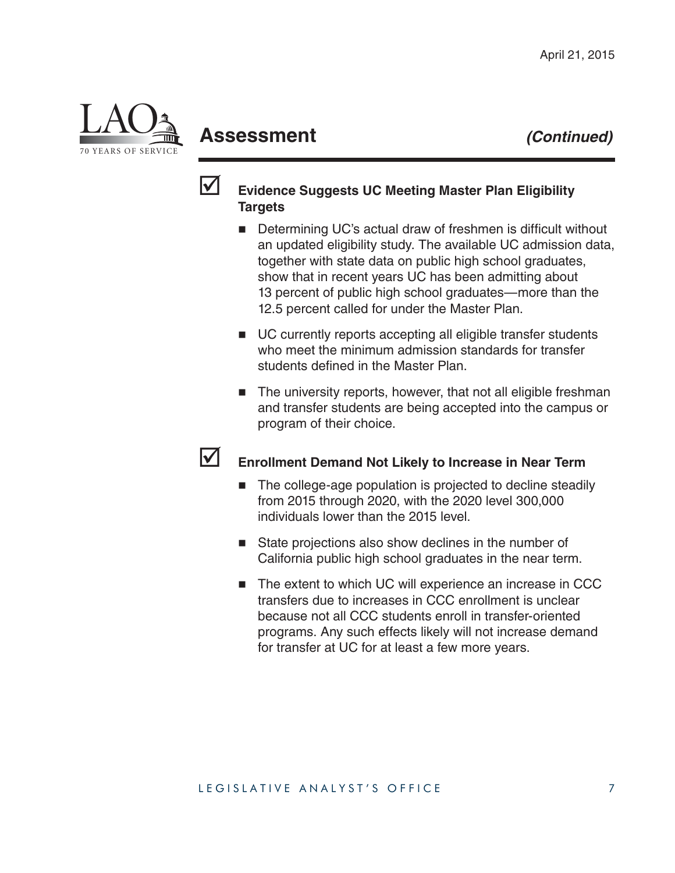

# **Assessment** *(Continued)*



#### **Evidence Suggests UC Meeting Master Plan Eligibility Targets**

- Determining UC's actual draw of freshmen is difficult without an updated eligibility study. The available UC admission data, together with state data on public high school graduates, show that in recent years UC has been admitting about 13 percent of public high school graduates—more than the 12.5 percent called for under the Master Plan.
- UC currently reports accepting all eligible transfer students who meet the minimum admission standards for transfer students defined in the Master Plan.
- The university reports, however, that not all eligible freshman and transfer students are being accepted into the campus or program of their choice.

#### **Enrollment Demand Not Likely to Increase in Near Term**

- The college-age population is projected to decline steadily from 2015 through 2020, with the 2020 level 300,000 individuals lower than the 2015 level.
- State projections also show declines in the number of California public high school graduates in the near term.
- The extent to which UC will experience an increase in CCC transfers due to increases in CCC enrollment is unclear because not all CCC students enroll in transfer-oriented programs. Any such effects likely will not increase demand for transfer at UC for at least a few more years.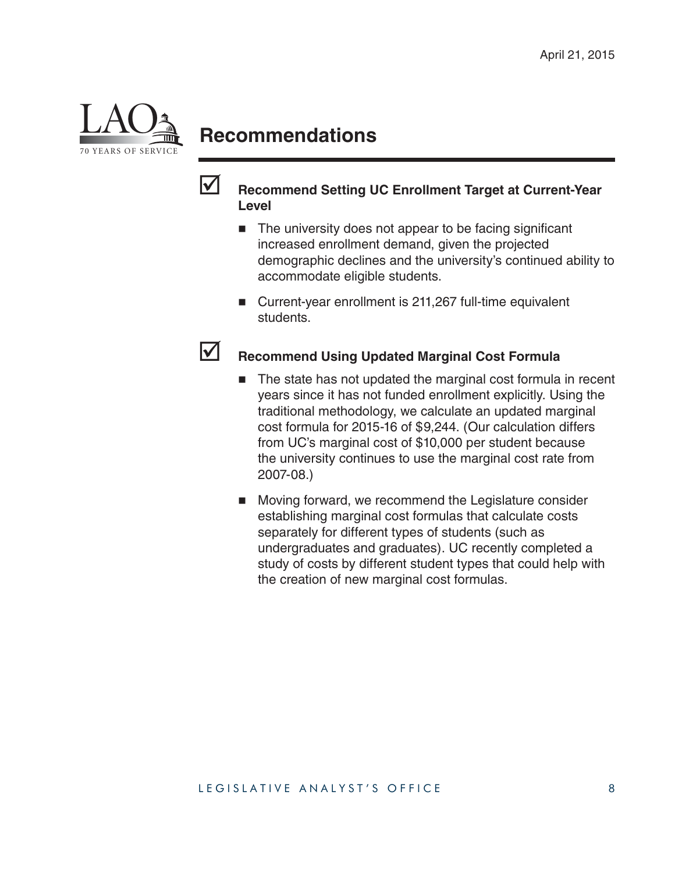

# **Recommendations**



#### **Recommend Setting UC Enrollment Target at Current-Year Level**

- $\blacksquare$  The university does not appear to be facing significant increased enrollment demand, given the projected demographic declines and the university's continued ability to accommodate eligible students.
- Current-year enrollment is 211,267 full-time equivalent students.

#### **Recommend Using Updated Marginal Cost Formula**

- The state has not updated the marginal cost formula in recent years since it has not funded enrollment explicitly. Using the traditional methodology, we calculate an updated marginal cost formula for 2015-16 of \$9,244. (Our calculation differs from UC's marginal cost of \$10,000 per student because the university continues to use the marginal cost rate from 2007-08.)
- **Moving forward, we recommend the Legislature consider** establishing marginal cost formulas that calculate costs separately for different types of students (such as undergraduates and graduates). UC recently completed a study of costs by different student types that could help with the creation of new marginal cost formulas.